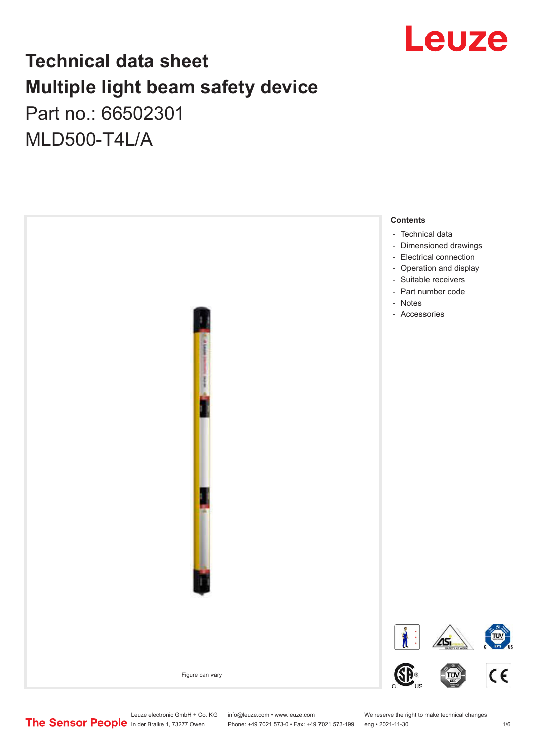

## **Technical data sheet Multiple light beam safety device**

Part no.: 66502301 MLD500-T4L/A



Leuze electronic GmbH + Co. KG info@leuze.com • www.leuze.com We reserve the right to make technical changes<br>
The Sensor People in der Braike 1, 73277 Owen Phone: +49 7021 573-0 • Fax: +49 7021 573-199 eng • 2021-11-30

Phone: +49 7021 573-0 • Fax: +49 7021 573-199 eng • 2021-11-30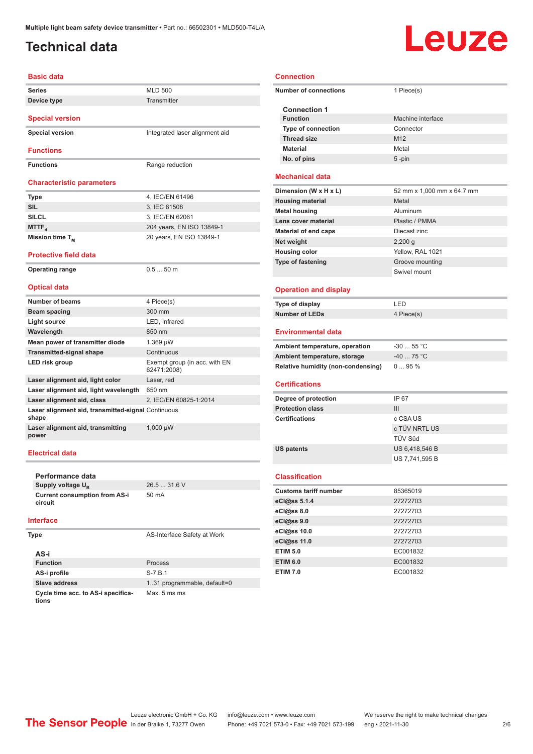### <span id="page-1-0"></span>**Technical data**

# Leuze

| <b>Basic data</b>                                           |                                              |
|-------------------------------------------------------------|----------------------------------------------|
| Series                                                      | <b>MLD 500</b>                               |
| Device type                                                 | <b>Transmitter</b>                           |
|                                                             |                                              |
| <b>Special version</b>                                      |                                              |
| <b>Special version</b>                                      | Integrated laser alignment aid               |
| <b>Functions</b>                                            |                                              |
|                                                             |                                              |
| <b>Functions</b>                                            | Range reduction                              |
| <b>Characteristic parameters</b>                            |                                              |
|                                                             |                                              |
| Type<br><b>SIL</b>                                          | 4, IEC/EN 61496                              |
| <b>SILCL</b>                                                | 3. IEC 61508                                 |
|                                                             | 3, IEC/EN 62061                              |
| MTTF <sub>d</sub>                                           | 204 years, EN ISO 13849-1                    |
| Mission time T <sub>M</sub>                                 | 20 years, EN ISO 13849-1                     |
| <b>Protective field data</b>                                |                                              |
| <b>Operating range</b>                                      | $0.550$ m                                    |
|                                                             |                                              |
| <b>Optical data</b>                                         |                                              |
| <b>Number of beams</b>                                      | 4 Piece(s)                                   |
| Beam spacing                                                | 300 mm                                       |
| <b>Light source</b>                                         | LED, Infrared                                |
| Wavelength                                                  | 850 nm                                       |
| Mean power of transmitter diode                             | $1.369 \mu W$                                |
| <b>Transmitted-signal shape</b>                             | Continuous                                   |
| LED risk group                                              | Exempt group (in acc. with EN<br>62471:2008) |
| Laser alignment aid, light color                            | Laser, red                                   |
| Laser alignment aid, light wavelength                       | 650 nm                                       |
| Laser alignment aid, class                                  | 2, IEC/EN 60825-1:2014                       |
| Laser alignment aid, transmitted-signal Continuous<br>shape |                                              |
| Laser alignment aid, transmitting<br>power                  | $1,000 \mu W$                                |

**Performance data Supply voltage U<sub>B</sub> Current consumption from AS-i circuit**

26.5 ... 31.6 V 50 mA

#### **Interface**

| Type                                        | AS-Interface Safety at Work  |
|---------------------------------------------|------------------------------|
| AS-i                                        |                              |
| <b>Function</b>                             | Process                      |
| AS-i profile                                | $S - 7.B.1$                  |
| Slave address                               | 1.31 programmable, default=0 |
| Cycle time acc. to AS-i specifica-<br>tions | Max. 5 ms ms                 |

#### **Connection**

| <b>Number of connections</b>           | 1 Piece(s)                 |
|----------------------------------------|----------------------------|
| <b>Connection 1</b><br><b>Function</b> | Machine interface          |
| <b>Type of connection</b>              | Connector                  |
| <b>Thread size</b>                     | M <sub>12</sub>            |
| <b>Material</b>                        | Metal                      |
| No. of pins                            | $5 - pin$                  |
|                                        |                            |
| <b>Mechanical data</b>                 |                            |
| Dimension (W x H x L)                  | 52 mm x 1,000 mm x 64.7 mm |
| <b>Housing material</b>                | Metal                      |
| <b>Metal housing</b>                   | Aluminum                   |
| Lens cover material                    | Plastic / PMMA             |
| <b>Material of end caps</b>            | Diecast zinc               |
| Net weight                             | $2,200$ g                  |
| <b>Housing color</b>                   | Yellow, RAL 1021           |
| <b>Type of fastening</b>               | Groove mounting            |
|                                        | Swivel mount               |
| <b>Operation and display</b>           |                            |
| Type of display                        | LED                        |
| <b>Number of LEDs</b>                  | 4 Piece(s)                 |
|                                        |                            |
| <b>Environmental data</b>              |                            |
| Ambient temperature, operation         | $-30$ 55 °C                |
| Ambient temperature, storage           | $-40$ 75 °C                |
| Relative humidity (non-condensing)     | $095\%$                    |
| <b>Certifications</b>                  |                            |
| Degree of protection                   | IP 67                      |
| <b>Protection class</b>                | III                        |
| <b>Certifications</b>                  | c CSA US                   |
|                                        | c TÜV NRTL US              |
|                                        | TÜV Süd                    |
| <b>US patents</b>                      | US 6,418,546 B             |
|                                        | US 7,741,595 B             |
| <b>Classification</b>                  |                            |
| <b>Customs tariff number</b>           | 85365019                   |
| eCl@ss 5.1.4                           | 27272703                   |
| eCl@ss 8.0                             | 27272703                   |
| eCl@ss 9.0                             |                            |
|                                        |                            |
|                                        | 27272703                   |
| eCl@ss 10.0                            | 27272703                   |
| eCl@ss 11.0                            | 27272703                   |
| <b>ETIM 5.0</b>                        | EC001832                   |
| <b>ETIM 6.0</b><br><b>ETIM 7.0</b>     | EC001832<br>EC001832       |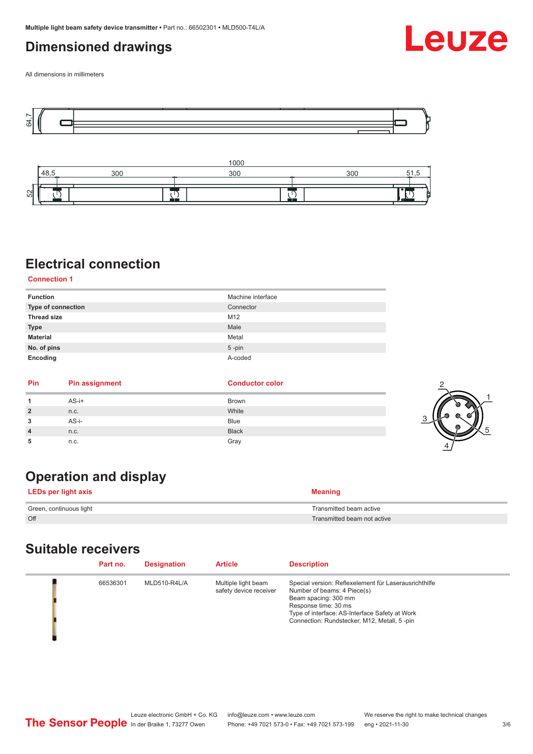### <span id="page-2-0"></span>**Dimensioned drawings**



All dimensions in millimeters





### **Electrical connection**

**Connection 1**

| <b>Function</b>    | Machine interface |
|--------------------|-------------------|
| Type of connection | Connector         |
| <b>Thread size</b> | M12               |
| <b>Type</b>        | Male              |
| <b>Material</b>    | Metal             |
| No. of pins        | $5$ -pin          |
| Encoding           | A-coded           |

| Pin            | <b>Pin assignment</b> | <b>Conductor color</b> |  |
|----------------|-----------------------|------------------------|--|
|                | $AS-i+$               | Brown                  |  |
| $\overline{2}$ | n.c.                  | White                  |  |
| 3              | AS-i-                 | <b>Blue</b>            |  |
| $\overline{4}$ | n.c.                  | <b>Black</b>           |  |
| 5              | n.c.                  | Gray                   |  |

### **Operation and display**

| LEDs per light axis     | <b>Meaning</b>              |
|-------------------------|-----------------------------|
| Green, continuous light | Transmitted beam active     |
| Off                     | Transmitted beam not active |

### **Suitable receivers**

| Part no. | <b>Designation</b> | <b>Article</b>                                | <b>Description</b>                                                                                                                                                                                                                    |
|----------|--------------------|-----------------------------------------------|---------------------------------------------------------------------------------------------------------------------------------------------------------------------------------------------------------------------------------------|
| 66536301 | MLD510-R4L/A       | Multiple light beam<br>safety device receiver | Special version: Reflexelement für Laserausrichthilfe<br>Number of beams: 4 Piece(s)<br>Beam spacing: 300 mm<br>Response time: 30 ms<br>Type of interface: AS-Interface Safety at Work<br>Connection: Rundstecker, M12, Metall, 5-pin |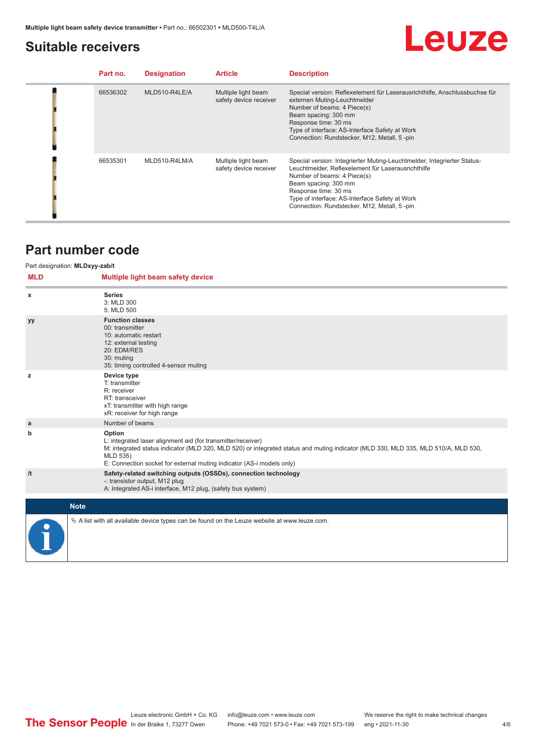### <span id="page-3-0"></span>**Suitable receivers**

## Leuze

| Part no. | <b>Designation</b> | <b>Article</b>                                | <b>Description</b>                                                                                                                                                                                                                                                                                            |
|----------|--------------------|-----------------------------------------------|---------------------------------------------------------------------------------------------------------------------------------------------------------------------------------------------------------------------------------------------------------------------------------------------------------------|
| 66536302 | MLD510-R4LE/A      | Multiple light beam<br>safety device receiver | Special version: Reflexelement für Laserausrichthilfe, Anschlussbuchse für<br>externen Muting-Leuchtmelder<br>Number of beams: 4 Piece(s)<br>Beam spacing: 300 mm<br>Response time: 30 ms<br>Type of interface: AS-Interface Safety at Work<br>Connection: Rundstecker, M12, Metall, 5-pin                    |
| 66535301 | MLD510-R4LM/A      | Multiple light beam<br>safety device receiver | Special version: Integrierter Muting-Leuchtmelder, Integrierter Status-<br>Leuchtmelder, Reflexelement für Laserausrichthilfe<br>Number of beams: 4 Piece(s)<br>Beam spacing: 300 mm<br>Response time: 30 ms<br>Type of interface: AS-Interface Safety at Work<br>Connection: Rundstecker, M12, Metall, 5-pin |

### **Part number code**

#### Part designation: **MLDxyy-zab/t**

| <b>MLD</b> | Multiple light beam safety device                                                                                                                                                                                                                                                                 |
|------------|---------------------------------------------------------------------------------------------------------------------------------------------------------------------------------------------------------------------------------------------------------------------------------------------------|
| x          | <b>Series</b><br>3: MLD 300<br>5: MLD 500                                                                                                                                                                                                                                                         |
| yy         | <b>Function classes</b><br>00: transmitter<br>10: automatic restart<br>12: external testing<br>20: EDM/RES<br>30: muting<br>35: timing controlled 4-sensor muting                                                                                                                                 |
| z          | Device type<br>T: transmitter<br>R: receiver<br>RT: transceiver<br>xT: transmitter with high range<br>xR: receiver for high range                                                                                                                                                                 |
| a          | Number of beams                                                                                                                                                                                                                                                                                   |
| b          | Option<br>L: integrated laser alignment aid (for transmitter/receiver)<br>M: integrated status indicator (MLD 320, MLD 520) or integrated status and muting indicator (MLD 330, MLD 335, MLD 510/A, MLD 530,<br>MLD 535)<br>E: Connection socket for external muting indicator (AS-i models only) |
| /t         | Safety-related switching outputs (OSSDs), connection technology<br>-: transistor output, M12 plug<br>A: Integrated AS-i interface, M12 plug, (safety bus system)                                                                                                                                  |
|            |                                                                                                                                                                                                                                                                                                   |
|            | <b>Note</b>                                                                                                                                                                                                                                                                                       |
|            | $\&$ A list with all available device types can be found on the Leuze website at www.leuze.com.                                                                                                                                                                                                   |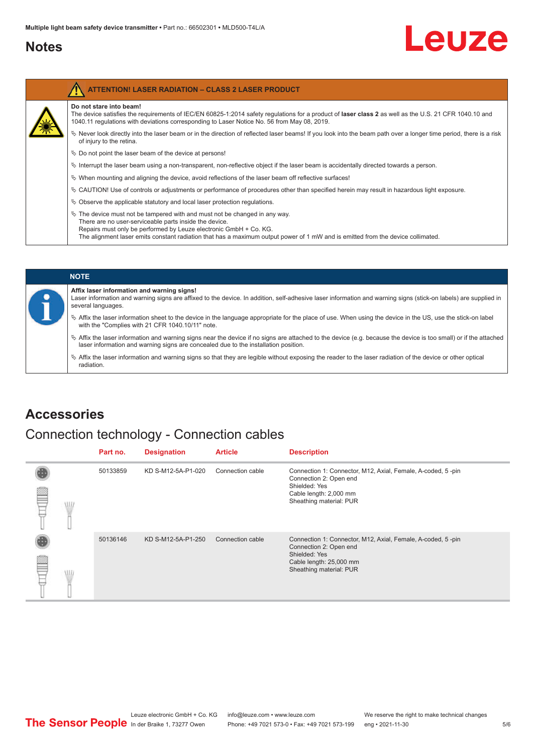### <span id="page-4-0"></span>**Notes**

| <b>ATTENTION! LASER RADIATION - CLASS 2 LASER PRODUCT</b>                                                                                                                                                                                                                                                                                       |
|-------------------------------------------------------------------------------------------------------------------------------------------------------------------------------------------------------------------------------------------------------------------------------------------------------------------------------------------------|
| Do not stare into beam!<br>The device satisfies the requirements of IEC/EN 60825-1:2014 safety requlations for a product of laser class 2 as well as the U.S. 21 CFR 1040.10 and<br>1040.11 regulations with deviations corresponding to Laser Notice No. 56 from May 08, 2019.                                                                 |
| ♦ Never look directly into the laser beam or in the direction of reflected laser beams! If you look into the beam path over a longer time period, there is a risk<br>of injury to the retina.                                                                                                                                                   |
| $\&$ Do not point the laser beam of the device at persons!                                                                                                                                                                                                                                                                                      |
| $\%$ Interrupt the laser beam using a non-transparent, non-reflective object if the laser beam is accidentally directed towards a person.                                                                                                                                                                                                       |
| $\%$ When mounting and aligning the device, avoid reflections of the laser beam off reflective surfaces!                                                                                                                                                                                                                                        |
| $\%$ CAUTION! Use of controls or adjustments or performance of procedures other than specified herein may result in hazardous light exposure.                                                                                                                                                                                                   |
| $\&$ Observe the applicable statutory and local laser protection regulations.                                                                                                                                                                                                                                                                   |
| $\&$ The device must not be tampered with and must not be changed in any way.<br>There are no user-serviceable parts inside the device.<br>Repairs must only be performed by Leuze electronic GmbH + Co. KG.<br>The alignment laser emits constant radiation that has a maximum output power of 1 mW and is emitted from the device collimated. |

| <b>NOTE</b>                                                                                                                                                                                                                                                         |
|---------------------------------------------------------------------------------------------------------------------------------------------------------------------------------------------------------------------------------------------------------------------|
| Affix laser information and warning signs!<br>Laser information and warning signs are affixed to the device. In addition, self-adhesive laser information and warning signs (stick-on labels) are supplied in<br>several languages.                                 |
| € Affix the laser information sheet to the device in the language appropriate for the place of use. When using the device in the US, use the stick-on label<br>with the "Complies with 21 CFR 1040.10/11" note.                                                     |
| $\frac{1}{2}$ Affix the laser information and warning signs near the device if no signs are attached to the device (e.g. because the device is too small) or if the attached<br>laser information and warning signs are concealed due to the installation position. |
| $\&$ Affix the laser information and warning signs so that they are legible without exposing the reader to the laser radiation of the device or other optical<br>radiation.                                                                                         |

### **Accessories**

### Connection technology - Connection cables

|   | Part no. | <b>Designation</b> | <b>Article</b>   | <b>Description</b>                                                                                                                                           |
|---|----------|--------------------|------------------|--------------------------------------------------------------------------------------------------------------------------------------------------------------|
| ≝ | 50133859 | KD S-M12-5A-P1-020 | Connection cable | Connection 1: Connector, M12, Axial, Female, A-coded, 5-pin<br>Connection 2: Open end<br>Shielded: Yes<br>Cable length: 2,000 mm<br>Sheathing material: PUR  |
|   | 50136146 | KD S-M12-5A-P1-250 | Connection cable | Connection 1: Connector, M12, Axial, Female, A-coded, 5-pin<br>Connection 2: Open end<br>Shielded: Yes<br>Cable length: 25,000 mm<br>Sheathing material: PUR |